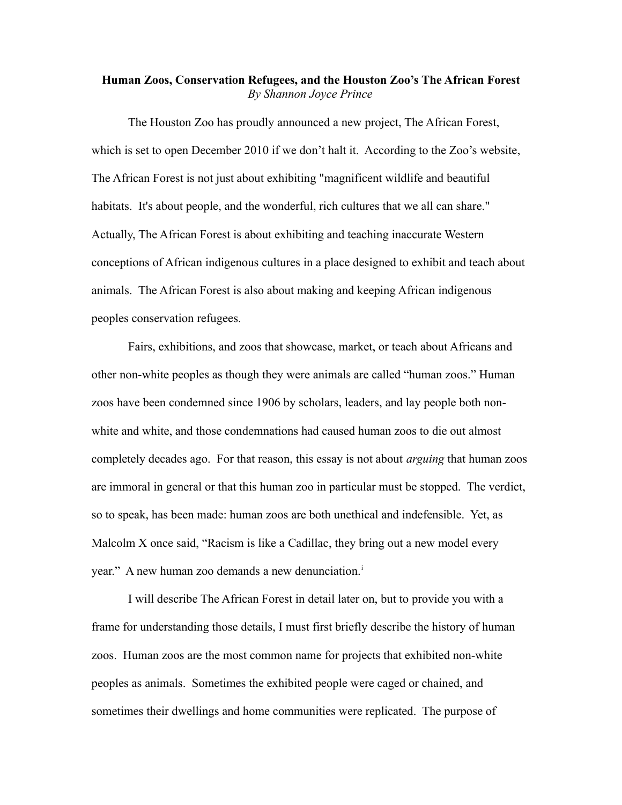## **Human Zoos, Conservation Refugees, and the Houston Zoo's The African Forest** *By Shannon Joyce Prince*

The Houston Zoo has proudly announced a new project, The African Forest, which is set to open December 2010 if we don't halt it. According to the Zoo's website, The African Forest is not just about exhibiting "magnificent wildlife and beautiful habitats. It's about people, and the wonderful, rich cultures that we all can share." Actually, The African Forest is about exhibiting and teaching inaccurate Western conceptions of African indigenous cultures in a place designed to exhibit and teach about animals. The African Forest is also about making and keeping African indigenous peoples conservation refugees.

Fairs, exhibitions, and zoos that showcase, market, or teach about Africans and other non-white peoples as though they were animals are called "human zoos." Human zoos have been condemned since 1906 by scholars, leaders, and lay people both nonwhite and white, and those condemnations had caused human zoos to die out almost completely decades ago. For that reason, this essay is not about *arguing* that human zoos are immoral in general or that this human zoo in particular must be stopped. The verdict, so to speak, has been made: human zoos are both unethical and indefensible. Yet, as Malcolm X once said, "Racism is like a Cadillac, they bring out a new model every year." A new human zoo demands a new denunc[i](#page-20-0)ation.<sup>i</sup>

I will describe The African Forest in detail later on, but to provide you with a frame for understanding those details, I must first briefly describe the history of human zoos. Human zoos are the most common name for projects that exhibited non-white peoples as animals. Sometimes the exhibited people were caged or chained, and sometimes their dwellings and home communities were replicated. The purpose of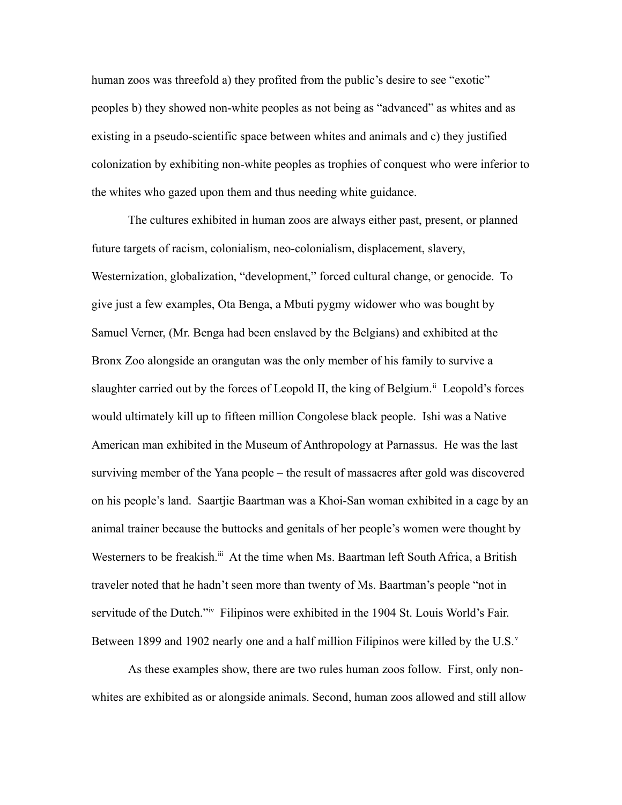human zoos was threefold a) they profited from the public's desire to see "exotic" peoples b) they showed non-white peoples as not being as "advanced" as whites and as existing in a pseudo-scientific space between whites and animals and c) they justified colonization by exhibiting non-white peoples as trophies of conquest who were inferior to the whites who gazed upon them and thus needing white guidance.

The cultures exhibited in human zoos are always either past, present, or planned future targets of racism, colonialism, neo-colonialism, displacement, slavery, Westernization, globalization, "development," forced cultural change, or genocide. To give just a few examples, Ota Benga, a Mbuti pygmy widower who was bought by Samuel Verner, (Mr. Benga had been enslaved by the Belgians) and exhibited at the Bronx Zoo alongside an orangutan was the only member of his family to survive a slaughter carried out by the forces of Leopold II, the king of Belgium.<sup>[ii](#page-20-1)</sup> Leopold's forces would ultimately kill up to fifteen million Congolese black people. Ishi was a Native American man exhibited in the Museum of Anthropology at Parnassus. He was the last surviving member of the Yana people – the result of massacres after gold was discovered on his people's land. Saartjie Baartman was a Khoi-San woman exhibited in a cage by an animal trainer because the buttocks and genitals of her people's women were thought by Westerners to be freakish.<sup>[iii](#page-20-2)</sup> At the time when Ms. Baartman left South Africa, a British traveler noted that he hadn't seen more than twenty of Ms. Baartman's people "not in servitude of the Dutch."<sup>[iv](#page-20-3)</sup> Filipinos were exhibited in the 1904 St. Louis World's Fair. Between 1899 and 1902 nearly one and a half million Filipinos were killed by the U.S. $v$ 

As these examples show, there are two rules human zoos follow. First, only nonwhites are exhibited as or alongside animals. Second, human zoos allowed and still allow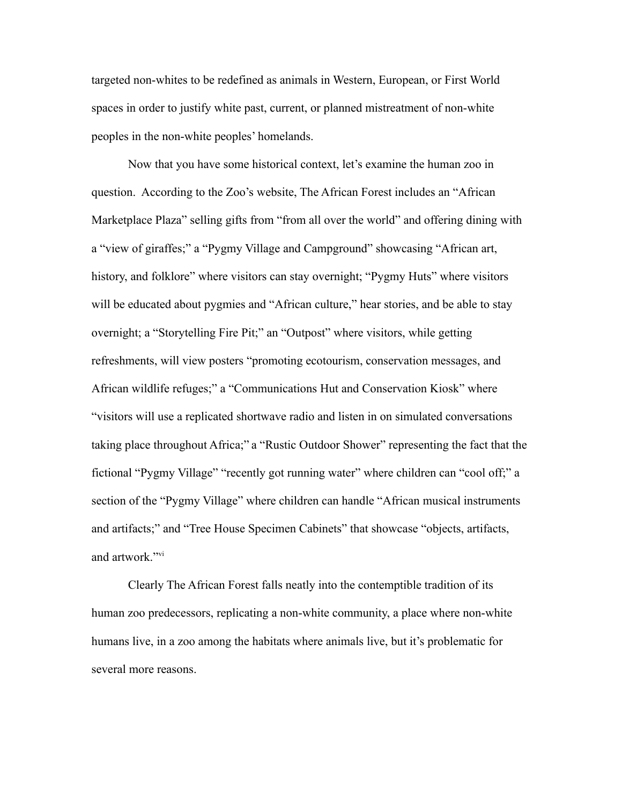targeted non-whites to be redefined as animals in Western, European, or First World spaces in order to justify white past, current, or planned mistreatment of non-white peoples in the non-white peoples' homelands.

Now that you have some historical context, let's examine the human zoo in question. According to the Zoo's website, The African Forest includes an "African Marketplace Plaza" selling gifts from "from all over the world" and offering dining with a "view of giraffes;" a "Pygmy Village and Campground" showcasing "African art, history, and folklore" where visitors can stay overnight; "Pygmy Huts" where visitors will be educated about pygmies and "African culture," hear stories, and be able to stay overnight; a "Storytelling Fire Pit;" an "Outpost" where visitors, while getting refreshments, will view posters "promoting ecotourism, conservation messages, and African wildlife refuges;" a "Communications Hut and Conservation Kiosk" where "visitors will use a replicated shortwave radio and listen in on simulated conversations taking place throughout Africa;" a "Rustic Outdoor Shower" representing the fact that the fictional "Pygmy Village" "recently got running water" where children can "cool off;" a section of the "Pygmy Village" where children can handle "African musical instruments and artifacts;" and "Tree House Specimen Cabinets" that showcase "objects, artifacts, and artwork."[vi](#page-20-5)

Clearly The African Forest falls neatly into the contemptible tradition of its human zoo predecessors, replicating a non-white community, a place where non-white humans live, in a zoo among the habitats where animals live, but it's problematic for several more reasons.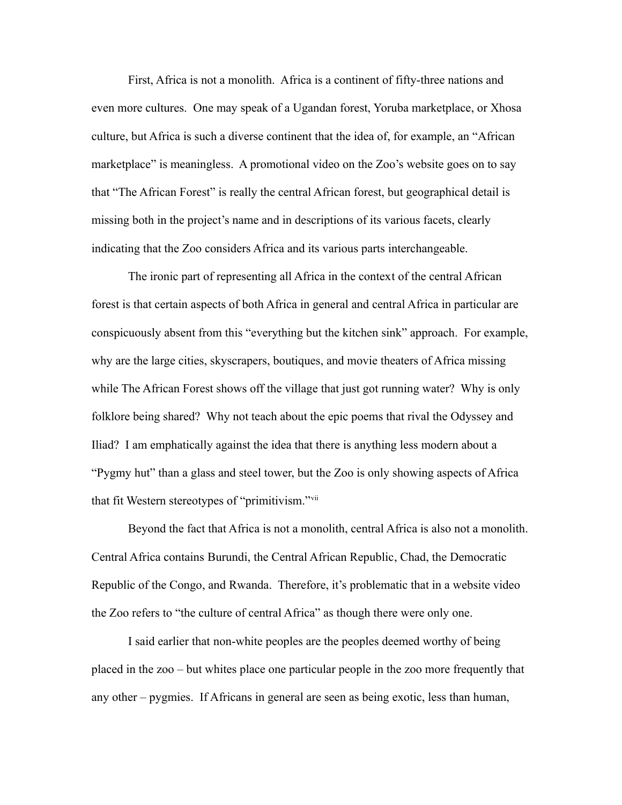First, Africa is not a monolith. Africa is a continent of fifty-three nations and even more cultures. One may speak of a Ugandan forest, Yoruba marketplace, or Xhosa culture, but Africa is such a diverse continent that the idea of, for example, an "African marketplace" is meaningless. A promotional video on the Zoo's website goes on to say that "The African Forest" is really the central African forest, but geographical detail is missing both in the project's name and in descriptions of its various facets, clearly indicating that the Zoo considers Africa and its various parts interchangeable.

The ironic part of representing all Africa in the context of the central African forest is that certain aspects of both Africa in general and central Africa in particular are conspicuously absent from this "everything but the kitchen sink" approach. For example, why are the large cities, skyscrapers, boutiques, and movie theaters of Africa missing while The African Forest shows off the village that just got running water? Why is only folklore being shared? Why not teach about the epic poems that rival the Odyssey and Iliad? I am emphatically against the idea that there is anything less modern about a "Pygmy hut" than a glass and steel tower, but the Zoo is only showing aspects of Africa that fit Western stereotypes of "primitivism."[vii](#page-20-6)

Beyond the fact that Africa is not a monolith, central Africa is also not a monolith. Central Africa contains [Burundi,](http://en.wikipedia.org/wiki/Burundi) the [Central African Republic,](http://en.wikipedia.org/wiki/Central_African_Republic) [Chad,](http://en.wikipedia.org/wiki/Chad) the [Democratic](http://en.wikipedia.org/wiki/Democratic_Republic_of_the_Congo) [Republic of the Congo,](http://en.wikipedia.org/wiki/Democratic_Republic_of_the_Congo) and [Rwanda.](http://en.wikipedia.org/wiki/Rwanda) Therefore, it's problematic that in a website video the Zoo refers to "the culture of central Africa" as though there were only one.

I said earlier that non-white peoples are the peoples deemed worthy of being placed in the zoo – but whites place one particular people in the zoo more frequently that any other – pygmies. If Africans in general are seen as being exotic, less than human,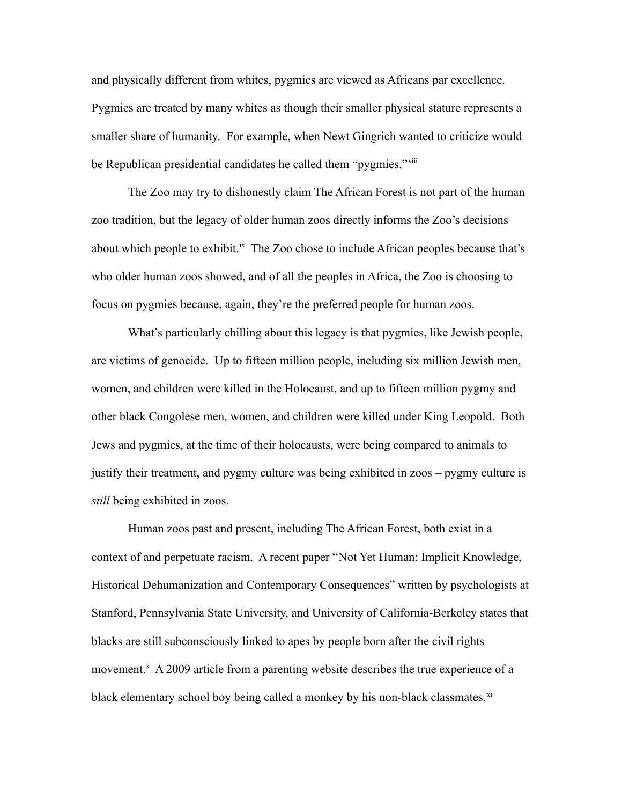and physically different from whites, pygmies are viewed as Africans par excellence. Pygmies are treated by many whites as though their smaller physical stature represents a smaller share of humanity. For example, when Newt Gingrich wanted to criticize would be Republican presidential candidates he called them "pygmies."<sup>[viii](#page-20-7)</sup>

The Zoo may try to dishonestly claim The African Forest is not part of the human zoo tradition, but the legacy of older human zoos directly informs the Zoo's decisions about which people to exhibit.<sup>[ix](#page-20-8)</sup> The Zoo chose to include African peoples because that's who older human zoos showed, and of all the peoples in Africa, the Zoo is choosing to focus on pygmies because, again, they're the preferred people for human zoos.

What's particularly chilling about this legacy is that pygmies, like Jewish people, are victims of genocide. Up to fifteen million people, including six million Jewish men, women, and children were killed in the Holocaust, and up to fifteen million pygmy and other black Congolese men, women, and children were killed under King Leopold. Both Jews and pygmies, at the time of their holocausts, were being compared to animals to justify their treatment, and pygmy culture was being exhibited in zoos – pygmy culture is *still* being exhibited in zoos.

Human zoos past and present, including The African Forest, both exist in a context of and perpetuate racism. A recent paper "Not Yet Human: Implicit Knowledge, Historical Dehumanization and Contemporary Consequences" written by psychologists at Stanford, Pennsylvania State University, and University of California-Berkeley states that blacks are still subconsciously linked to apes by people born after the civil rights movement.<sup>[x](#page-20-9)</sup> A 2009 article from a parenting website describes the true experience of a black elementary school boy being called a monkey by his non-black classmates. $x_i$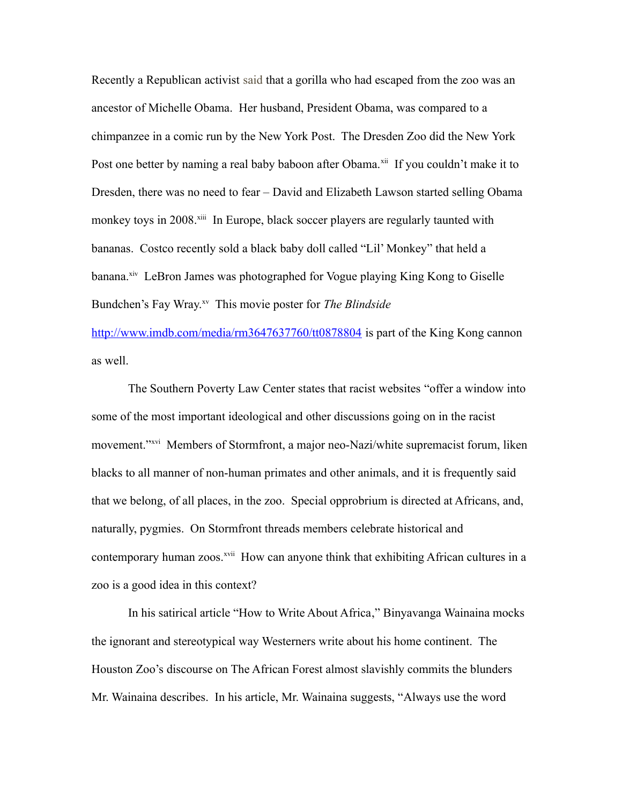Recently a Republican activist said that a gorilla who had escaped from the zoo was an ancestor of Michelle Obama. Her husband, President Obama, was compared to a chimpanzee in a comic run by the New York Post. The Dresden Zoo did the New York Post one better by naming a real baby baboon after Obama.<sup>[xii](#page-20-11)</sup> If you couldn't make it to Dresden, there was no need to fear – David and Elizabeth Lawson started selling Obama monkey toys in 2008.<sup>[xiii](#page-20-12)</sup> In Europe, black soccer players are regularly taunted with bananas. Costco recently sold a black baby doll called "Lil' Monkey" that held a banana.<sup>[xiv](#page-20-13)</sup> LeBron James was photographed for Vogue playing King Kong to Giselle Bundchen's Fay Wray.<sup>[xv](#page-20-14)</sup> This movie poster for *The Blindside* 

<http://www.imdb.com/media/rm3647637760/tt0878804> is part of the King Kong cannon as well.

The Southern Poverty Law Center states that racist websites "offer a window into some of the most important ideological and other discussions going on in the racist movement."<sup>[xvi](#page-20-15)</sup> Members of Stormfront, a major neo-Nazi/white supremacist forum, liken blacks to all manner of non-human primates and other animals, and it is frequently said that we belong, of all places, in the zoo. Special opprobrium is directed at Africans, and, naturally, pygmies. On Stormfront threads members celebrate historical and contemporary human zoos.<sup>[xvii](#page-20-16)</sup> How can anyone think that exhibiting African cultures in a zoo is a good idea in this context?

In his satirical article "How to Write About Africa," Binyavanga Wainaina mocks the ignorant and stereotypical way Westerners write about his home continent. The Houston Zoo's discourse on The African Forest almost slavishly commits the blunders Mr. Wainaina describes. In his article, Mr. Wainaina suggests, "Always use the word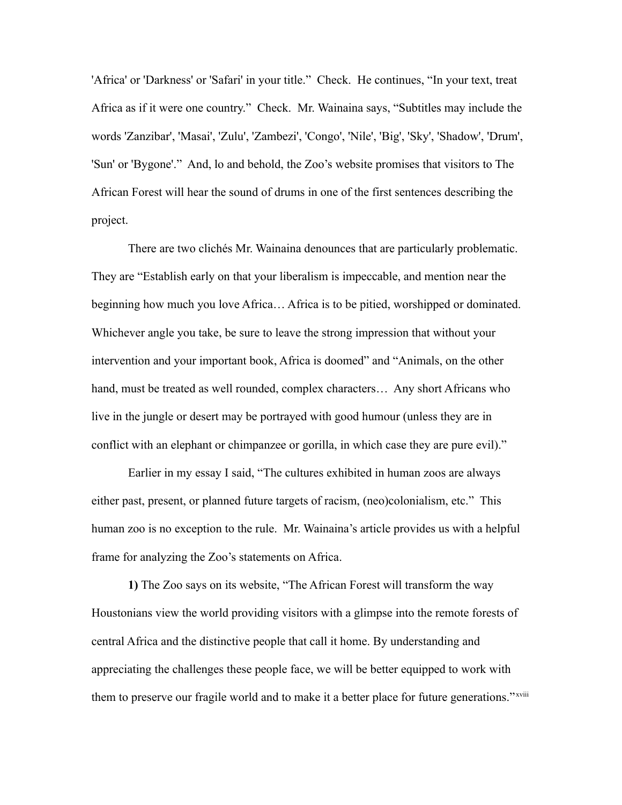'Africa' or 'Darkness' or 'Safari' in your title." Check. He continues, "In your text, treat Africa as if it were one country." Check. Mr. Wainaina says, "Subtitles may include the words 'Zanzibar', 'Masai', 'Zulu', 'Zambezi', 'Congo', 'Nile', 'Big', 'Sky', 'Shadow', 'Drum', 'Sun' or 'Bygone'." And, lo and behold, the Zoo's website promises that visitors to The African Forest will hear the sound of drums in one of the first sentences describing the project.

There are two clichés Mr. Wainaina denounces that are particularly problematic. They are "Establish early on that your liberalism is impeccable, and mention near the beginning how much you love Africa… Africa is to be pitied, worshipped or dominated. Whichever angle you take, be sure to leave the strong impression that without your intervention and your important book, Africa is doomed" and "Animals, on the other hand, must be treated as well rounded, complex characters… Any short Africans who live in the jungle or desert may be portrayed with good humour (unless they are in conflict with an elephant or chimpanzee or gorilla, in which case they are pure evil)."

Earlier in my essay I said, "The cultures exhibited in human zoos are always either past, present, or planned future targets of racism, (neo)colonialism, etc." This human zoo is no exception to the rule. Mr. Wainaina's article provides us with a helpful frame for analyzing the Zoo's statements on Africa.

**1)** The Zoo says on its website, "The African Forest will transform the way Houstonians view the world providing visitors with a glimpse into the remote forests of central Africa and the distinctive people that call it home. By understanding and appreciating the challenges these people face, we will be better equipped to work with them to preserve our fragile world and to make it a better place for future generations."<sup>[xviii](#page-20-17)</sup>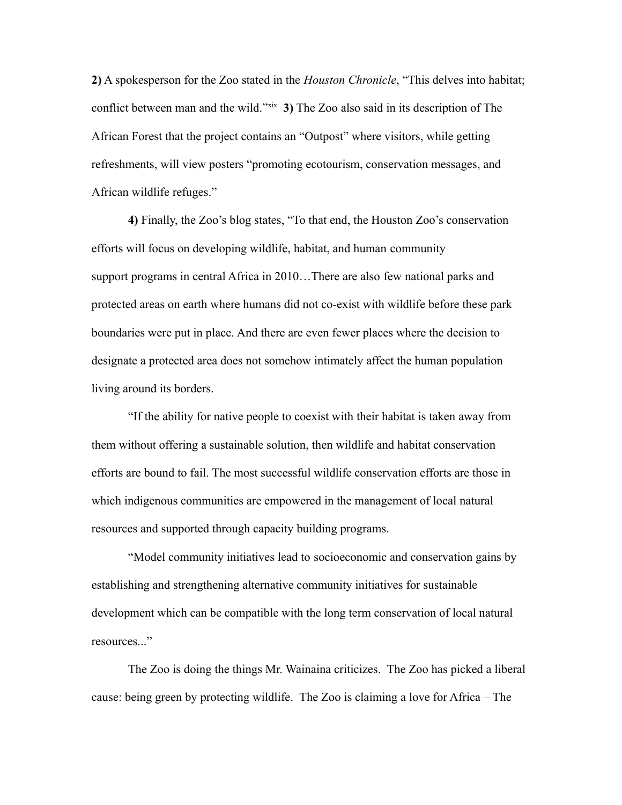**2)** A spokesperson for the Zoo stated in the *Houston Chronicle*, "This delves into habitat; conflict between man and the wild."<sup>[xix](#page-20-18)</sup> 3) The Zoo also said in its description of The African Forest that the project contains an "Outpost" where visitors, while getting refreshments, will view posters "promoting ecotourism, conservation messages, and African wildlife refuges."

**4)** Finally, the Zoo's blog states, "To that end, the Houston Zoo's conservation efforts will focus on developing wildlife, habitat, and human community support programs in central Africa in 2010…There are also few national parks and protected areas on earth where humans did not co-exist with wildlife before these park boundaries were put in place. And there are even fewer places where the decision to designate a protected area does not somehow intimately affect the human population living around its borders.

"If the ability for native people to coexist with their habitat is taken away from them without offering a sustainable solution, then wildlife and habitat conservation efforts are bound to fail. The most successful wildlife conservation efforts are those in which indigenous communities are empowered in the management of local natural resources and supported through capacity building programs.

"Model community initiatives lead to socioeconomic and conservation gains by establishing and strengthening alternative community initiatives for sustainable development which can be compatible with the long term conservation of local natural resources..."

The Zoo is doing the things Mr. Wainaina criticizes. The Zoo has picked a liberal cause: being green by protecting wildlife. The Zoo is claiming a love for Africa – The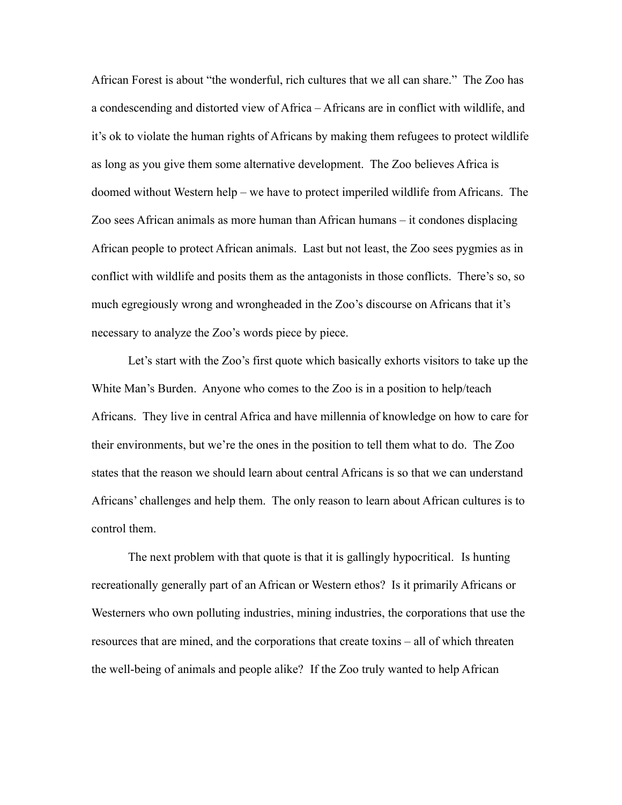African Forest is about "the wonderful, rich cultures that we all can share." The Zoo has a condescending and distorted view of Africa – Africans are in conflict with wildlife, and it's ok to violate the human rights of Africans by making them refugees to protect wildlife as long as you give them some alternative development. The Zoo believes Africa is doomed without Western help – we have to protect imperiled wildlife from Africans. The Zoo sees African animals as more human than African humans – it condones displacing African people to protect African animals. Last but not least, the Zoo sees pygmies as in conflict with wildlife and posits them as the antagonists in those conflicts. There's so, so much egregiously wrong and wrongheaded in the Zoo's discourse on Africans that it's necessary to analyze the Zoo's words piece by piece.

Let's start with the Zoo's first quote which basically exhorts visitors to take up the White Man's Burden. Anyone who comes to the Zoo is in a position to help/teach Africans. They live in central Africa and have millennia of knowledge on how to care for their environments, but we're the ones in the position to tell them what to do. The Zoo states that the reason we should learn about central Africans is so that we can understand Africans' challenges and help them. The only reason to learn about African cultures is to control them.

The next problem with that quote is that it is gallingly hypocritical. Is hunting recreationally generally part of an African or Western ethos? Is it primarily Africans or Westerners who own polluting industries, mining industries, the corporations that use the resources that are mined, and the corporations that create toxins – all of which threaten the well-being of animals and people alike? If the Zoo truly wanted to help African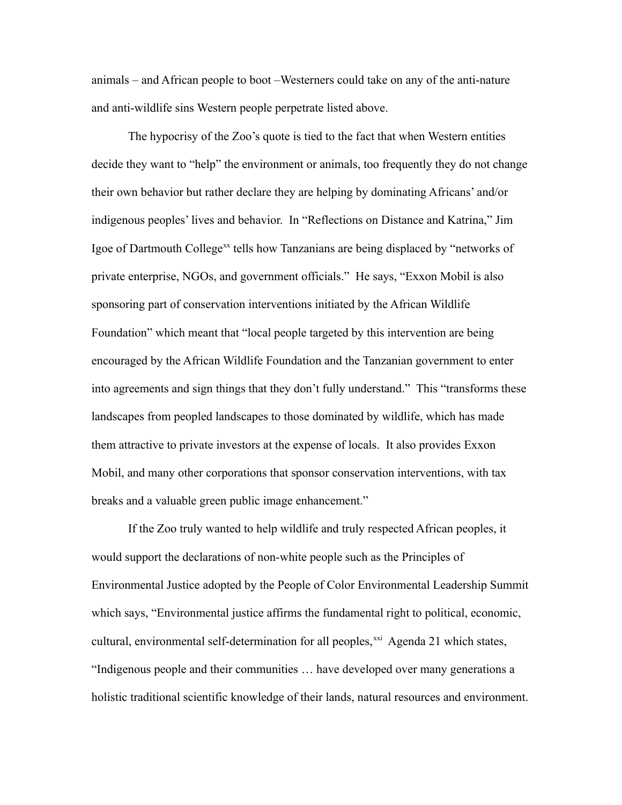animals – and African people to boot –Westerners could take on any of the anti-nature and anti-wildlife sins Western people perpetrate listed above.

The hypocrisy of the Zoo's quote is tied to the fact that when Western entities decide they want to "help" the environment or animals, too frequently they do not change their own behavior but rather declare they are helping by dominating Africans' and/or indigenous peoples' lives and behavior. In "Reflections on Distance and Katrina," Jim Igoe of Dartmouth College<sup>[xx](#page-20-19)</sup> tells how Tanzanians are being displaced by "networks of private enterprise, NGOs, and government officials." He says, "Exxon Mobil is also sponsoring part of conservation interventions initiated by the African Wildlife Foundation" which meant that "local people targeted by this intervention are being encouraged by the African Wildlife Foundation and the Tanzanian government to enter into agreements and sign things that they don't fully understand." This "transforms these landscapes from peopled landscapes to those dominated by wildlife, which has made them attractive to private investors at the expense of locals. It also provides Exxon Mobil, and many other corporations that sponsor conservation interventions, with tax breaks and a valuable green public image enhancement."

If the Zoo truly wanted to help wildlife and truly respected African peoples, it would support the declarations of non-white people such as the Principles of Environmental Justice adopted by the People of Color Environmental Leadership Summit which says, "Environmental justice affirms the fundamental right to political, economic, cultural, environmental self-determination for all peoples, $^{xxi}$  $^{xxi}$  $^{xxi}$  Agenda 21 which states, "Indigenous people and their communities … have developed over many generations a holistic traditional scientific knowledge of their lands, natural resources and environment.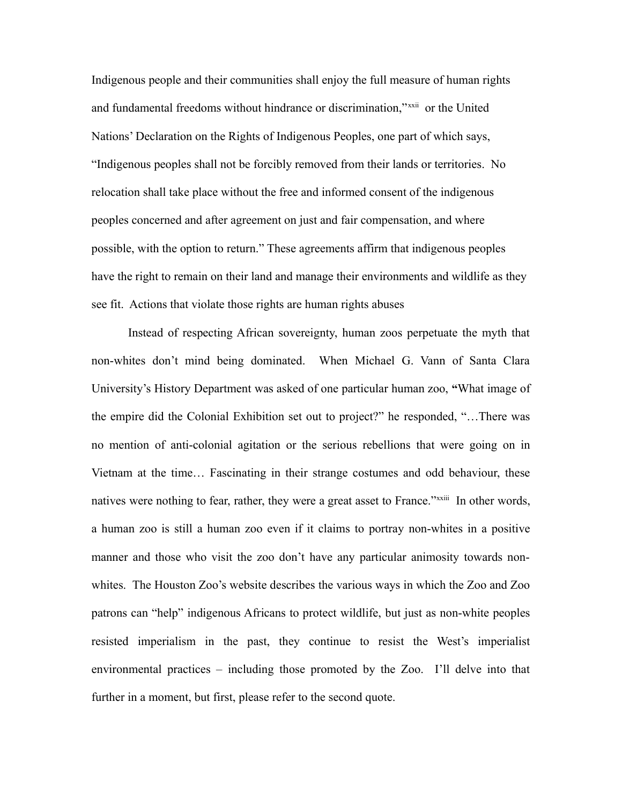Indigenous people and their communities shall enjoy the full measure of human rights and fundamental freedoms without hindrance or discrimination,"[xxii](#page-20-21) or the United Nations' Declaration on the Rights of Indigenous Peoples, one part of which says, "Indigenous peoples shall not be forcibly removed from their lands or territories. No relocation shall take place without the free and informed consent of the indigenous peoples concerned and after agreement on just and fair compensation, and where possible, with the option to return." These agreements affirm that indigenous peoples have the right to remain on their land and manage their environments and wildlife as they see fit. Actions that violate those rights are human rights abuses

Instead of respecting African sovereignty, human zoos perpetuate the myth that non-whites don't mind being dominated. When Michael G. Vann of Santa Clara University's History Department was asked of one particular human zoo, **"**What image of the empire did the Colonial Exhibition set out to project?" he responded, "…There was no mention of anti-colonial agitation or the serious rebellions that were going on in Vietnam at the time… Fascinating in their strange costumes and odd behaviour, these natives were nothing to fear, rather, they were a great asset to France."*[xxiii](#page-20-22)* In other words, a human zoo is still a human zoo even if it claims to portray non-whites in a positive manner and those who visit the zoo don't have any particular animosity towards nonwhites. The Houston Zoo's website describes the various ways in which the Zoo and Zoo patrons can "help" indigenous Africans to protect wildlife, but just as non-white peoples resisted imperialism in the past, they continue to resist the West's imperialist environmental practices – including those promoted by the Zoo. I'll delve into that further in a moment, but first, please refer to the second quote.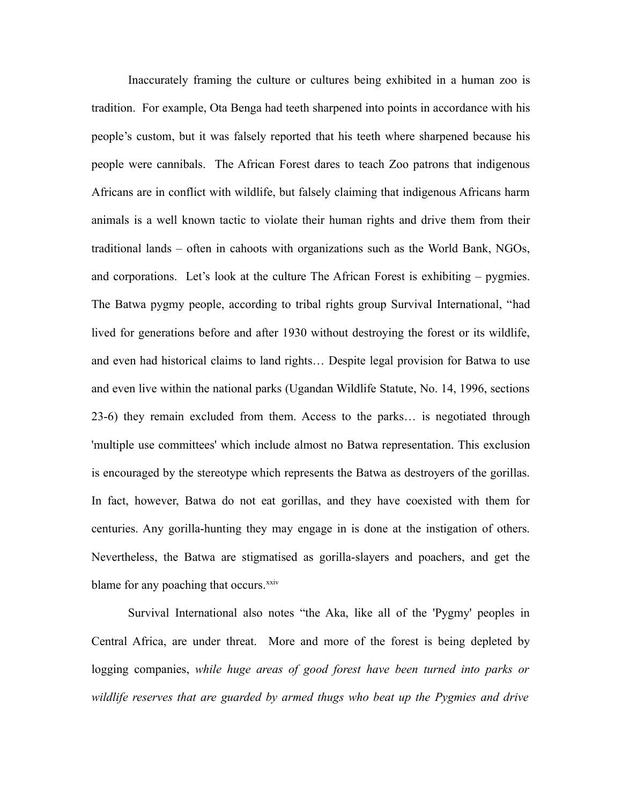Inaccurately framing the culture or cultures being exhibited in a human zoo is tradition. For example, Ota Benga had teeth sharpened into points in accordance with his people's custom, but it was falsely reported that his teeth where sharpened because his people were cannibals. The African Forest dares to teach Zoo patrons that indigenous Africans are in conflict with wildlife, but falsely claiming that indigenous Africans harm animals is a well known tactic to violate their human rights and drive them from their traditional lands – often in cahoots with organizations such as the World Bank, NGOs, and corporations. Let's look at the culture The African Forest is exhibiting – pygmies. The Batwa pygmy people, according to tribal rights group Survival International, "had lived for generations before and after 1930 without destroying the forest or its wildlife, and even had historical claims to land rights… Despite legal provision for Batwa to use and even live within the national parks (Ugandan Wildlife Statute, No. 14, 1996, sections 23-6) they remain excluded from them. Access to the parks… is negotiated through 'multiple use committees' which include almost no Batwa representation. This exclusion is encouraged by the stereotype which represents the Batwa as destroyers of the gorillas. In fact, however, Batwa do not eat gorillas, and they have coexisted with them for centuries. Any gorilla-hunting they may engage in is done at the instigation of others. Nevertheless, the Batwa are stigmatised as gorilla-slayers and poachers, and get the blame for any poaching that occurs.<sup>[xxiv](#page-20-23)</sup>

Survival International also notes "the Aka, like all of the 'Pygmy' peoples in Central Africa, are under threat. More and more of the forest is being depleted by logging companies, *while huge areas of good forest have been turned into parks or wildlife reserves that are guarded by armed thugs who beat up the Pygmies and drive*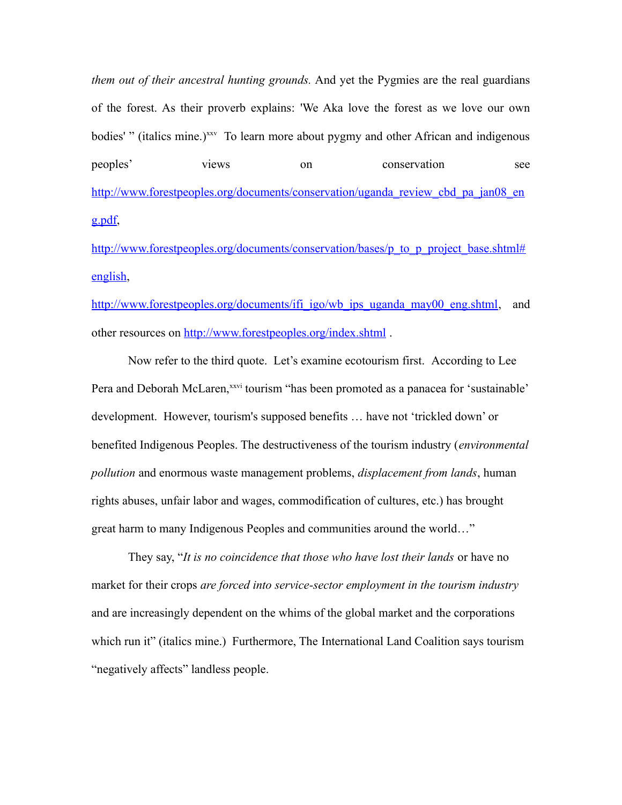*them out of their ancestral hunting grounds.* And yet the Pygmies are the real guardians of the forest. As their proverb explains: 'We Aka love the forest as we love our own bodies' " (italics mine.)<sup>[xxv](#page-20-24)</sup> To learn more about pygmy and other African and indigenous peoples' views on conservation see [http://www.forestpeoples.org/documents/conservation/uganda\\_review\\_cbd\\_pa\\_jan08\\_en](http://www.forestpeoples.org/documents/conservation/uganda_review_cbd_pa_jan08_eng.pdf) [g.pdf,](http://www.forestpeoples.org/documents/conservation/uganda_review_cbd_pa_jan08_eng.pdf)

[http://www.forestpeoples.org/documents/conservation/bases/p\\_to\\_p\\_project\\_base.shtml#](http://www.forestpeoples.org/documents/conservation/bases/p_to_p_project_base.shtml#english) [english,](http://www.forestpeoples.org/documents/conservation/bases/p_to_p_project_base.shtml#english)

[http://www.forestpeoples.org/documents/ifi\\_igo/wb\\_ips\\_uganda\\_may00\\_eng.shtml,](http://www.forestpeoples.org/documents/ifi_igo/wb_ips_uganda_may00_eng.shtml) and other resources on<http://www.forestpeoples.org/index.shtml>.

Now refer to the third quote. Let's examine ecotourism first.According to Lee Pera and Deborah McLaren,<sup>[xxvi](#page-21-0)</sup> tourism "has been promoted as a panacea for 'sustainable' development. However, tourism's supposed benefits … have not 'trickled down' or benefited Indigenous Peoples. The destructiveness of the tourism industry (*environmental pollution* and enormous waste management problems, *displacement from lands*, human rights abuses, unfair labor and wages, commodification of cultures, etc.) has brought great harm to many Indigenous Peoples and communities around the world…"

They say, "*It is no coincidence that those who have lost their lands* or have no market for their crops *are forced into service-sector employment in the tourism industry* and are increasingly dependent on the whims of the global market and the corporations which run it" (italics mine.) Furthermore, The International Land Coalition says tourism "negatively affects" landless people.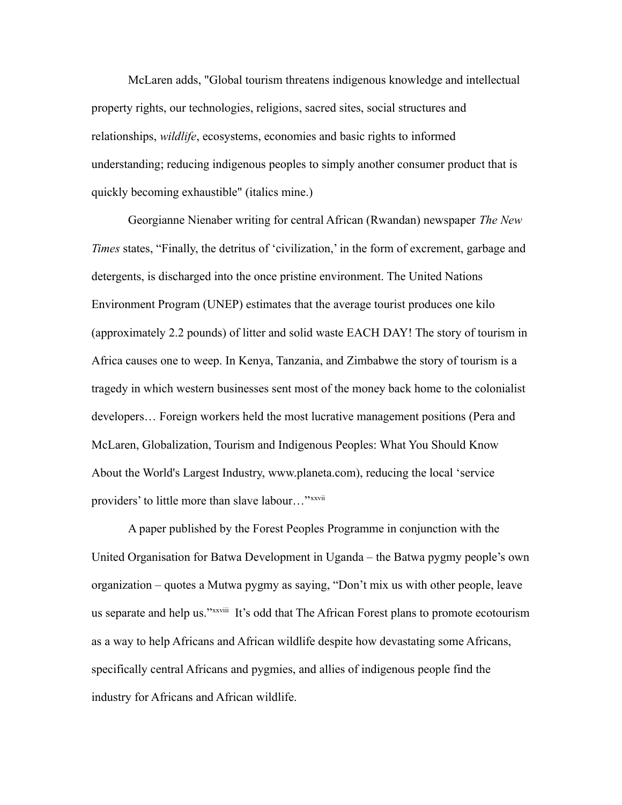McLaren adds, "Global tourism threatens indigenous knowledge and intellectual property rights, our technologies, religions, sacred sites, social structures and relationships, *wildlife*, ecosystems, economies and basic rights to informed understanding; reducing indigenous peoples to simply another consumer product that is quickly becoming exhaustible" (italics mine.)

Georgianne Nienaber writing for central African (Rwandan) newspaper *The New Times* states, "Finally, the detritus of 'civilization,' in the form of excrement, garbage and detergents, is discharged into the once pristine environment. The United Nations Environment Program (UNEP) estimates that the average tourist produces one kilo (approximately 2.2 pounds) of litter and solid waste EACH DAY! The story of tourism in Africa causes one to weep. In Kenya, Tanzania, and Zimbabwe the story of tourism is a tragedy in which western businesses sent most of the money back home to the colonialist developers… Foreign workers held the most lucrative management positions (Pera and McLaren, Globalization, Tourism and Indigenous Peoples: What You Should Know About the World's Largest Industry, www.planeta.com), reducing the local 'service providers' to little more than slave labour..."[xxvii](#page-21-1)

A paper published by the Forest Peoples Programme in conjunction with the United Organisation for Batwa Development in Uganda – the Batwa pygmy people's own organization – quotes a Mutwa pygmy as saying, "Don't mix us with other people, leave us separate and help us."[xxviii](#page-21-2) It's odd that The African Forest plans to promote ecotourism as a way to help Africans and African wildlife despite how devastating some Africans, specifically central Africans and pygmies, and allies of indigenous people find the industry for Africans and African wildlife.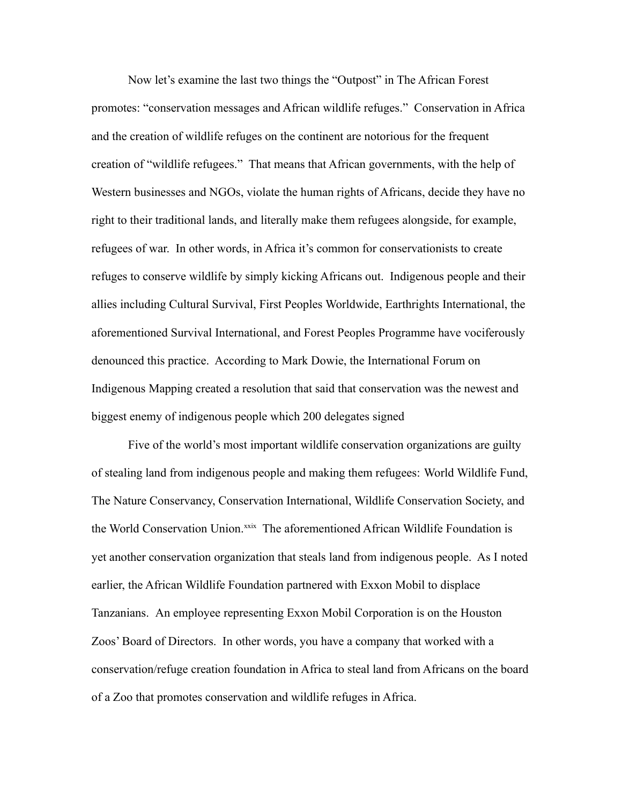Now let's examine the last two things the "Outpost" in The African Forest promotes: "conservation messages and African wildlife refuges." Conservation in Africa and the creation of wildlife refuges on the continent are notorious for the frequent creation of "wildlife refugees." That means that African governments, with the help of Western businesses and NGOs, violate the human rights of Africans, decide they have no right to their traditional lands, and literally make them refugees alongside, for example, refugees of war. In other words, in Africa it's common for conservationists to create refuges to conserve wildlife by simply kicking Africans out. Indigenous people and their allies including Cultural Survival, First Peoples Worldwide, Earthrights International, the aforementioned Survival International, and Forest Peoples Programme have vociferously denounced this practice. According to Mark Dowie, the International Forum on Indigenous Mapping created a resolution that said that conservation was the newest and biggest enemy of indigenous people which 200 delegates signed

Five of the world's most important wildlife conservation organizations are guilty of stealing land from indigenous people and making them refugees: World Wildlife Fund, The Nature Conservancy, Conservation International, Wildlife Conservation Society, and the World Conservation Union.<sup>[xxix](#page-21-3)</sup> The aforementioned African Wildlife Foundation is yet another conservation organization that steals land from indigenous people. As I noted earlier, the African Wildlife Foundation partnered with Exxon Mobil to displace Tanzanians. An employee representing Exxon Mobil Corporation is on the Houston Zoos' Board of Directors. In other words, you have a company that worked with a conservation/refuge creation foundation in Africa to steal land from Africans on the board of a Zoo that promotes conservation and wildlife refuges in Africa.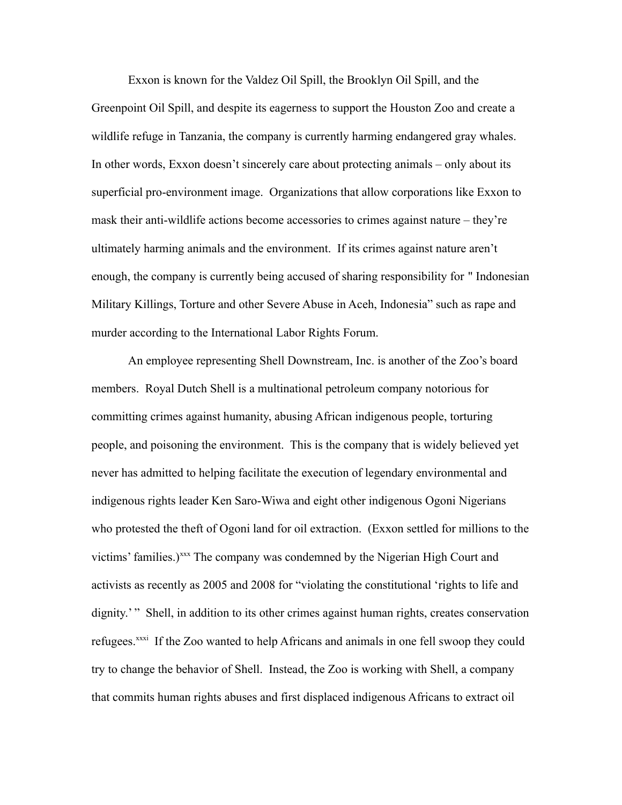Exxon is known for the Valdez Oil Spill, the Brooklyn Oil Spill, and the Greenpoint Oil Spill, and despite its eagerness to support the Houston Zoo and create a wildlife refuge in Tanzania, the company is currently harming endangered gray whales. In other words, Exxon doesn't sincerely care about protecting animals – only about its superficial pro-environment image. Organizations that allow corporations like Exxon to mask their anti-wildlife actions become accessories to crimes against nature – they're ultimately harming animals and the environment. If its crimes against nature aren't enough, the company is currently being accused of sharing responsibility for " Indonesian Military Killings, Torture and other Severe Abuse in Aceh, Indonesia" such as rape and murder according to the International Labor Rights Forum.

An employee representing Shell Downstream, Inc. is another of the Zoo's board members. Royal Dutch Shell is a multinational petroleum company notorious for committing crimes against humanity, abusing African indigenous people, torturing people, and poisoning the environment. This is the company that is widely believed yet never has admitted to helping facilitate the execution of legendary environmental and indigenous rights leader Ken Saro-Wiwa and eight other indigenous Ogoni Nigerians who protested the theft of Ogoni land for oil extraction. (Exxon settled for millions to the victims' families.)[xxx](#page-21-4) The company was condemned by the Nigerian High Court and activists as recently as 2005 and 2008 for "violating the constitutional 'rights to life and dignity.'" Shell, in addition to its other crimes against human rights, creates conservation refugees.<sup>[xxxi](#page-21-5)</sup> If the Zoo wanted to help Africans and animals in one fell swoop they could try to change the behavior of Shell. Instead, the Zoo is working with Shell, a company that commits human rights abuses and first displaced indigenous Africans to extract oil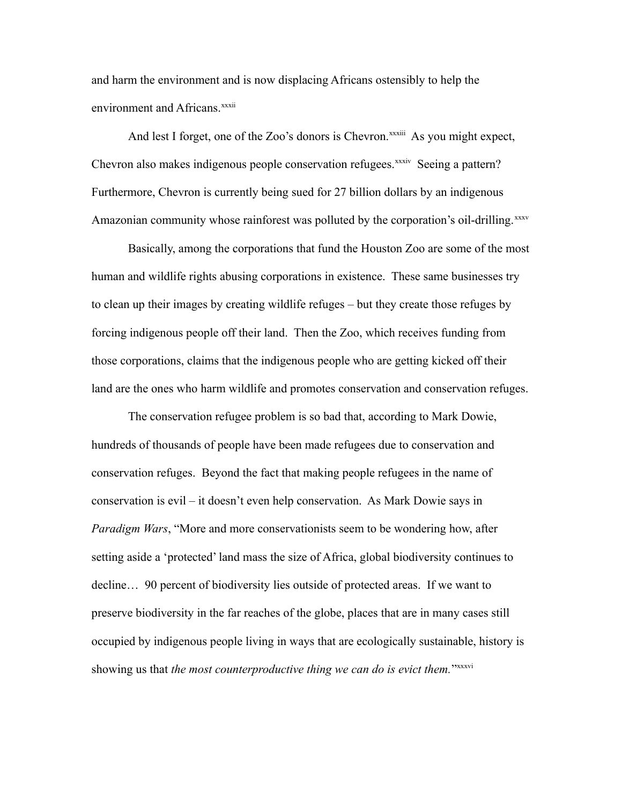and harm the environment and is now displacing Africans ostensibly to help the environment and Africans.<sup>[xxxii](#page-21-6)</sup>

And lest I forget, one of the Zoo's donors is Chevron.<sup>[xxxiii](#page-21-7)</sup> As you might expect, Chevron also makes indigenous people conservation refugees.<sup>[xxxiv](#page-21-8)</sup> Seeing a pattern? Furthermore, Chevron is currently being sued for 27 billion dollars by an indigenous Amazonian community whose rainforest was polluted by the corporation's oil-drilling.<sup>[xxxv](#page-21-9)</sup>

Basically, among the corporations that fund the Houston Zoo are some of the most human and wildlife rights abusing corporations in existence. These same businesses try to clean up their images by creating wildlife refuges – but they create those refuges by forcing indigenous people off their land. Then the Zoo, which receives funding from those corporations, claims that the indigenous people who are getting kicked off their land are the ones who harm wildlife and promotes conservation and conservation refuges.

The conservation refugee problem is so bad that, according to Mark Dowie, hundreds of thousands of people have been made refugees due to conservation and conservation refuges. Beyond the fact that making people refugees in the name of conservation is evil – it doesn't even help conservation. As Mark Dowie says in *Paradigm Wars*, "More and more conservationists seem to be wondering how, after setting aside a 'protected' land mass the size of Africa, global biodiversity continues to decline… 90 percent of biodiversity lies outside of protected areas. If we want to preserve biodiversity in the far reaches of the globe, places that are in many cases still occupied by indigenous people living in ways that are ecologically sustainable, history is showing us that *the most counterproductive thing we can do is evict them.*"[xxxvi](#page-21-10)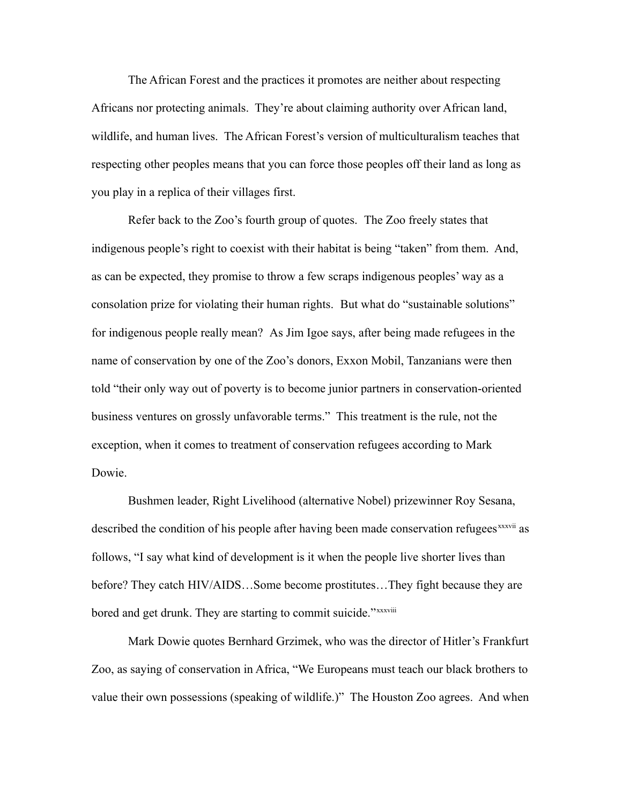The African Forest and the practices it promotes are neither about respecting Africans nor protecting animals. They're about claiming authority over African land, wildlife, and human lives. The African Forest's version of multiculturalism teaches that respecting other peoples means that you can force those peoples off their land as long as you play in a replica of their villages first.

Refer back to the Zoo's fourth group of quotes. The Zoo freely states that indigenous people's right to coexist with their habitat is being "taken" from them. And, as can be expected, they promise to throw a few scraps indigenous peoples' way as a consolation prize for violating their human rights. But what do "sustainable solutions" for indigenous people really mean? As Jim Igoe says, after being made refugees in the name of conservation by one of the Zoo's donors, Exxon Mobil, Tanzanians were then told "their only way out of poverty is to become junior partners in conservation-oriented business ventures on grossly unfavorable terms." This treatment is the rule, not the exception, when it comes to treatment of conservation refugees according to Mark Dowie.

Bushmen leader, Right Livelihood (alternative Nobel) prizewinner Roy Sesana, described the condition of his people after having been made conservation refugees<sup>[xxxvii](#page-21-11)</sup> as follows, "I say what kind of development is it when the people live shorter lives than before? They catch HIV/AIDS…Some become prostitutes…They fight because they are bored and get drunk. They are starting to commit suicide."*x[xxxviii](#page-21-12)* 

Mark Dowie quotes Bernhard Grzimek, who was the director of Hitler's Frankfurt Zoo, as saying of conservation in Africa, "We Europeans must teach our black brothers to value their own possessions (speaking of wildlife.)" The Houston Zoo agrees. And when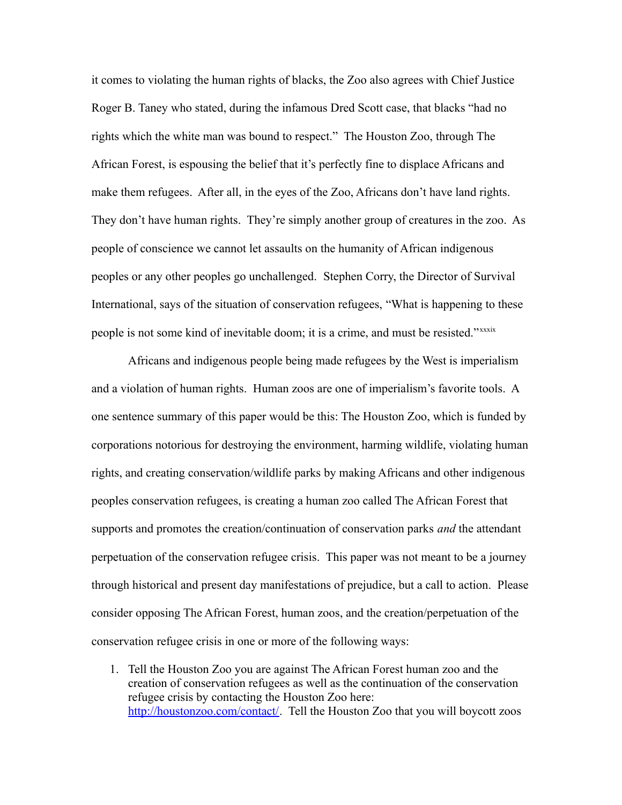it comes to violating the human rights of blacks, the Zoo also agrees with Chief Justice Roger B. Taney who stated, during the infamous Dred Scott case, that blacks "had no rights which the white man was bound to respect." The Houston Zoo, through The African Forest, is espousing the belief that it's perfectly fine to displace Africans and make them refugees. After all, in the eyes of the Zoo, Africans don't have land rights. They don't have human rights. They're simply another group of creatures in the zoo. As people of conscience we cannot let assaults on the humanity of African indigenous peoples or any other peoples go unchallenged. Stephen Corry, the Director of Survival International, says of the situation of conservation refugees, "What is happening to these people is not some kind of inevitable doom; it is a crime, and must be resisted."<sup>x[xxxix](#page-21-13)</sup>

Africans and indigenous people being made refugees by the West is imperialism and a violation of human rights. Human zoos are one of imperialism's favorite tools. A one sentence summary of this paper would be this: The Houston Zoo, which is funded by corporations notorious for destroying the environment, harming wildlife, violating human rights, and creating conservation/wildlife parks by making Africans and other indigenous peoples conservation refugees, is creating a human zoo called The African Forest that supports and promotes the creation/continuation of conservation parks *and* the attendant perpetuation of the conservation refugee crisis. This paper was not meant to be a journey through historical and present day manifestations of prejudice, but a call to action. Please consider opposing The African Forest, human zoos, and the creation/perpetuation of the conservation refugee crisis in one or more of the following ways:

1. Tell the Houston Zoo you are against The African Forest human zoo and the creation of conservation refugees as well as the continuation of the conservation refugee crisis by contacting the Houston Zoo here: [http://houstonzoo.com/contact/.](http://houstonzoo.com/contact/) Tell the Houston Zoo that you will boycott zoos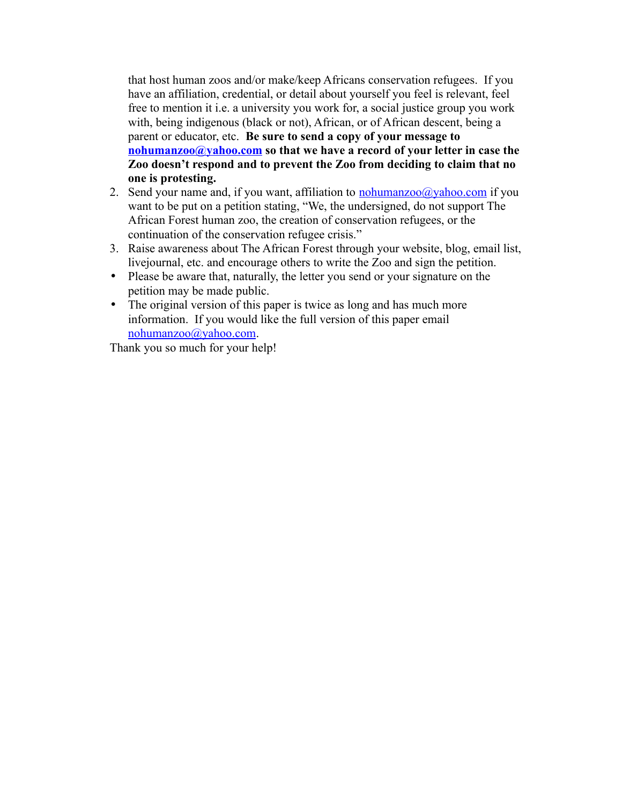that host human zoos and/or make/keep Africans conservation refugees. If you have an affiliation, credential, or detail about yourself you feel is relevant, feel free to mention it i.e. a university you work for, a social justice group you work with, being indigenous (black or not), African, or of African descent, being a parent or educator, etc. **Be sure to send a copy of your message to [nohumanzoo@yahoo.com](mailto:nohumanzoo@yahoo.com) so that we have a record of your letter in case the Zoo doesn't respond and to prevent the Zoo from deciding to claim that no one is protesting.**

- 2. Send your name and, if you want, affiliation to [nohumanzoo@yahoo.com](mailto:nohumanzoo@yahoo.com) if you want to be put on a petition stating, "We, the undersigned, do not support The African Forest human zoo, the creation of conservation refugees, or the continuation of the conservation refugee crisis."
- 3. Raise awareness about The African Forest through your website, blog, email list, livejournal, etc. and encourage others to write the Zoo and sign the petition.
- Please be aware that, naturally, the letter you send or your signature on the petition may be made public.
- The original version of this paper is twice as long and has much more information. If you would like the full version of this paper email [nohumanzoo@yahoo.com.](mailto:nohumanzoo@yahoo.com)

Thank you so much for your help!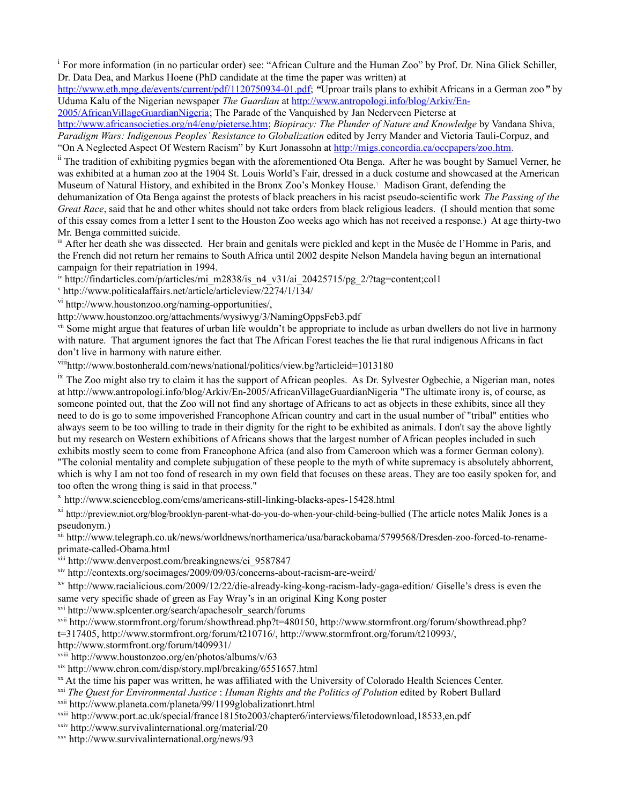<span id="page-20-0"></span><sup>i</sup> For more information (in no particular order) see: "African Culture and the Human Zoo" by Prof. Dr. Nina Glick Schiller, Dr. Data Dea, and Markus Hoene (PhD candidate at the time the paper was written) at

[http://www.eth.mpg.de/events/current/pdf/1120750934-01.pdf;](http://www.eth.mpg.de/events/current/pdf/1120750934-01.pdf) *"*Uproar trails plans to exhibit Africans in a German zoo*"* by Uduma Kalu of the Nigerian newspaper *The Guardian* at [http://www.antropologi.info/blog/Arkiv/En-](http://www.antropologi.info/blog/Arkiv/En-2005/AfricanVillageGuardianNigeria)

[2005/AfricanVillageGuardianNigeria;](http://www.antropologi.info/blog/Arkiv/En-2005/AfricanVillageGuardianNigeria) The Parade of the Vanquished by Jan Nederveen Pieterse at [http://www.africansocieties.org/n4/eng/pieterse.htm;](http://www.africansocieties.org/n4/eng/pieterse.htm) *Biopiracy: The Plunder of Nature and Knowledge* by Vandana Shiva, *Paradigm Wars: Indigenous Peoples' Resistance to Globalization* edited by Jerry Mander and Victoria Tauli-Corpuz, and

"On A Neglected Aspect Of Western Racism" by Kurt Jonassohn at [http://migs.concordia.ca/occpapers/zoo.htm.](http://migs.concordia.ca/occpapers/zoo.htm)

<span id="page-20-1"></span><sup>ii</sup> The tradition of exhibiting pygmies began with the aforementioned Ota Benga. After he was bought by Samuel Verner, he was exhibited at a human zoo at the 1904 St. Louis World's Fair, dressed in a duck costume and showcased at the American Museum of Natural History, and exhibited in the Bronx Zoo's Monkey House.<sup>1</sup> Madison Grant, defending the

dehumanization of Ota Benga against the protests of black preachers in his racist pseudo-scientific work *The Passing of the Great Race*, said that he and other whites should not take orders from black religious leaders. (I should mention that some of this essay comes from a letter I sent to the Houston Zoo weeks ago which has not received a response.) At age thirty-two Mr. Benga committed suicide.

<span id="page-20-2"></span>iii After her death she was dissected. Her brain and genitals were pickled and kept in the Musée de l'Homme in Paris, and the French did not return her remains to South Africa until 2002 despite Nelson Mandela having begun an international campaign for their repatriation in 1994.

<span id="page-20-3"></span>iv http://findarticles.com/p/articles/mi\_m2838/is\_n4\_v31/ai\_20425715/pg\_2/?tag=content;col1

<span id="page-20-4"></span>v http://www.politicalaffairs.net/article/articleview/2274/1/134/

<span id="page-20-5"></span>vi [http://www.houstonzoo.org/naming-opportunities/,](http://www.houstonzoo.org/naming-opportunities/)

http://www.houstonzoo.org/attachments/wysiwyg/3/NamingOppsFeb3.pdf

<span id="page-20-6"></span>vii Some might argue that features of urban life wouldn't be appropriate to include as urban dwellers do not live in harmony with nature. That argument ignores the fact that The African Forest teaches the lie that rural indigenous Africans in fact don't live in harmony with nature either.

<span id="page-20-7"></span>viii<http://www.bostonherald.com/news/national/politics/view.bg?articleid=1013180>

<span id="page-20-8"></span> $\alpha$ <sup>ix</sup> The Zoo might also try to claim it has the support of African peoples. As Dr. Sylvester Ogbechie, a Nigerian man, notes at<http://www.antropologi.info/blog/Arkiv/En-2005/AfricanVillageGuardianNigeria> "The ultimate irony is, of course, as someone pointed out, that the Zoo will not find any shortage of Africans to act as objects in these exhibits, since all they need to do is go to some impoverished Francophone African country and cart in the usual number of "tribal" entities who always seem to be too willing to trade in their dignity for the right to be exhibited as animals. I don't say the above lightly but my research on Western exhibitions of Africans shows that the largest number of African peoples included in such exhibits mostly seem to come from Francophone Africa (and also from Cameroon which was a former German colony). "The colonial mentality and complete subjugation of these people to the myth of white supremacy is absolutely abhorrent, which is why I am not too fond of research in my own field that focuses on these areas. They are too easily spoken for, and too often the wrong thing is said in that process."

<span id="page-20-9"></span>x <http://www.scienceblog.com/cms/americans-still-linking-blacks-apes-15428.html>

<span id="page-20-10"></span> $\frac{x_1}{x_2}$  <http://preview.niot.org/blog/brooklyn-parent-what-do-you-do-when-your-child-being-bullied> (The article notes Malik Jones is a pseudonym.)

<span id="page-20-11"></span>xii http://www.telegraph.co.uk/news/worldnews/northamerica/usa/barackobama/5799568/Dresden-zoo-forced-to-renameprimate-called-Obama.html

<span id="page-20-12"></span>xiii http://www.denverpost.com/breakingnews/ci\_9587847

<span id="page-20-13"></span>xiv <http://contexts.org/socimages/2009/09/03/concerns-about-racism-are-weird/>

<span id="page-20-14"></span>xv <http://www.racialicious.com/2009/12/22/die-already-king-kong-racism-lady-gaga-edition/>Giselle's dress is even the same very specific shade of green as Fay Wray's in an original King Kong poster

<span id="page-20-15"></span>xvi http://www.splcenter.org/search/apachesolr\_search/forums

<span id="page-20-16"></span>xvii [http://www.stormfront.org/forum/showthread.php?t=480150,](http://www.stormfront.org/forum/showthread.php?t=480150) [http://www.stormfront.org/forum/showthread.php?](http://www.stormfront.org/forum/showthread.php?t=317405) [t=317405,](http://www.stormfront.org/forum/showthread.php?t=317405) [http://www.stormfront.org/forum/t210716/,](http://www.stormfront.org/forum/t210716/) [http://www.stormfront.org/forum/t210993/,](http://www.stormfront.org/forum/t210993/)

<http://www.stormfront.org/forum/t409931/>

<span id="page-20-17"></span>xviii http://www.houstonzoo.org/en/photos/albums/v/63

<span id="page-20-18"></span>xix http://www.chron.com/disp/story.mpl/breaking/6551657.html

<span id="page-20-19"></span>xx At the time his paper was written, he was affiliated with the University of Colorado Health Sciences Center.

<span id="page-20-20"></span>xxi *The Quest for Environmental Justice* : *Human Rights and the Politics of Polution* edited by Robert Bullard

<span id="page-20-21"></span>xxii <http://www.planeta.com/planeta/99/1199globalizationrt.html>

<span id="page-20-22"></span>xxiii http://www.port.ac.uk/special/france1815to2003/chapter6/interviews/filetodownload,18533,en.pdf

<span id="page-20-23"></span>xxiv <http://www.survivalinternational.org/material/20>

<span id="page-20-24"></span>xxv <http://www.survivalinternational.org/news/93>